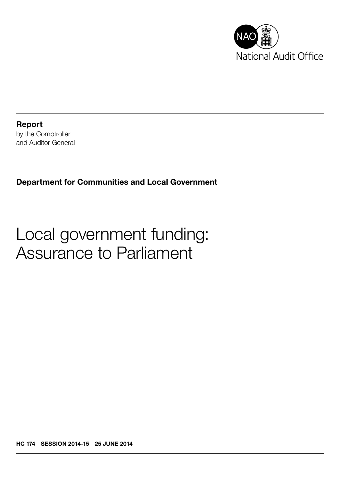

Report by the Comptroller and Auditor General

Department for Communities and Local Government

# Local government funding: Assurance to Parliament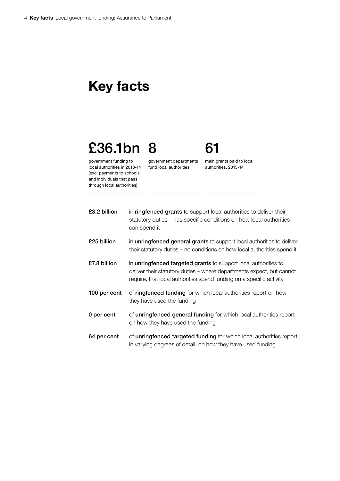# Key facts

# £36.1bn 8

government funding to local authorities in 2013-14 (exc. payments to schools and individuals that pass through local authorities)

government departments fund local authorities

main grants paid to local authorities, 2013-14

61

| £3.2 billion | in ringfenced grants to support local authorities to deliver their<br>statutory duties – has specific conditions on how local authorities<br>can spend it                                                        |
|--------------|------------------------------------------------------------------------------------------------------------------------------------------------------------------------------------------------------------------|
| £25 billion  | in <b>unringfenced general grants</b> to support local authorities to deliver<br>their statutory duties – no conditions on how local authorities spend it                                                        |
| £7.8 billion | in unringfenced targeted grants to support local authorities to<br>deliver their statutory duties – where departments expect, but cannot<br>require, that local authorities spend funding on a specific activity |
| 100 per cent | of ringfenced funding for which local authorities report on how<br>they have used the funding                                                                                                                    |
| 0 per cent   | of unringfenced general funding for which local authorities report<br>on how they have used the funding                                                                                                          |
| 64 per cent  | of unringfenced targeted funding for which local authorities report                                                                                                                                              |

in varying degrees of detail, on how they have used funding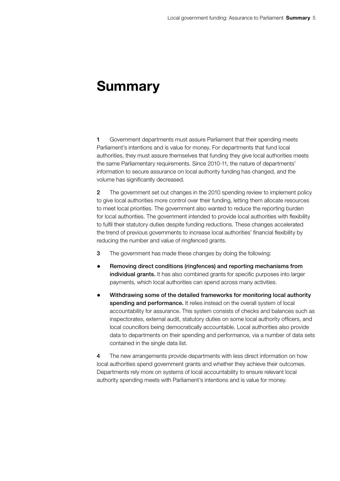# Summary

1 Government departments must assure Parliament that their spending meets Parliament's intentions and is value for money. For departments that fund local authorities, they must assure themselves that funding they give local authorities meets the same Parliamentary requirements. Since 2010-11, the nature of departments' information to secure assurance on local authority funding has changed, and the volume has significantly decreased.

2 The government set out changes in the 2010 spending review to implement policy to give local authorities more control over their funding, letting them allocate resources to meet local priorities. The government also wanted to reduce the reporting burden for local authorities. The government intended to provide local authorities with flexibility to fulfil their statutory duties despite funding reductions. These changes accelerated the trend of previous governments to increase local authorities' financial flexibility by reducing the number and value of ringfenced grants.

- 3 The government has made these changes by doing the following:
- • Removing direct conditions (ringfences) and reporting mechanisms from individual grants. It has also combined grants for specific purposes into larger payments, which local authorities can spend across many activities.
- Withdrawing some of the detailed frameworks for monitoring local authority spending and performance. It relies instead on the overall system of local accountability for assurance. This system consists of checks and balances such as inspectorates, external audit, statutory duties on some local authority officers, and local councillors being democratically accountable. Local authorities also provide data to departments on their spending and performance, via a number of data sets contained in the single data list.

4 The new arrangements provide departments with less direct information on how local authorities spend government grants and whether they achieve their outcomes. Departments rely more on systems of local accountability to ensure relevant local authority spending meets with Parliament's intentions and is value for money.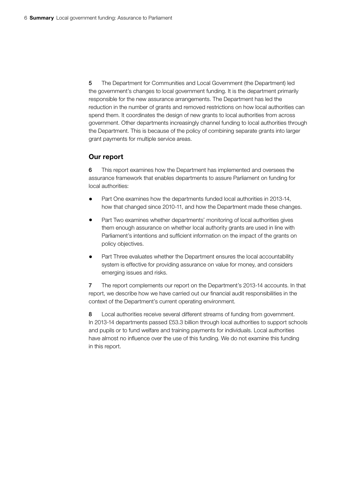5 The Department for Communities and Local Government (the Department) led the government's changes to local government funding. It is the department primarily responsible for the new assurance arrangements. The Department has led the reduction in the number of grants and removed restrictions on how local authorities can spend them. It coordinates the design of new grants to local authorities from across government. Other departments increasingly channel funding to local authorities through the Department. This is because of the policy of combining separate grants into larger grant payments for multiple service areas.

## Our report

6 This report examines how the Department has implemented and oversees the assurance framework that enables departments to assure Parliament on funding for local authorities:

- Part One examines how the departments funded local authorities in 2013-14, how that changed since 2010-11, and how the Department made these changes.
- Part Two examines whether departments' monitoring of local authorities gives them enough assurance on whether local authority grants are used in line with Parliament's intentions and sufficient information on the impact of the grants on policy objectives.
- Part Three evaluates whether the Department ensures the local accountability system is effective for providing assurance on value for money, and considers emerging issues and risks.

7 The report complements our report on the Department's 2013-14 accounts. In that report, we describe how we have carried out our financial audit responsibilities in the context of the Department's current operating environment.

8 Local authorities receive several different streams of funding from government. In 2013-14 departments passed £53.3 billion through local authorities to support schools and pupils or to fund welfare and training payments for individuals. Local authorities have almost no influence over the use of this funding. We do not examine this funding in this report.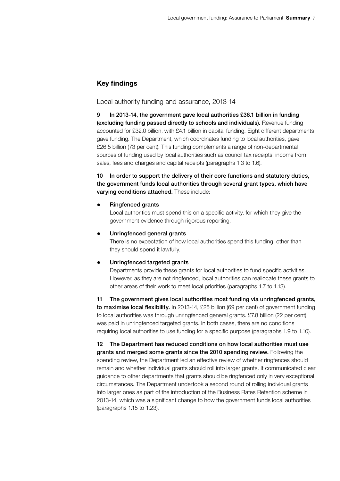## Key findings

Local authority funding and assurance, 2013-14

9 In 2013-14, the government gave local authorities £36.1 billion in funding (excluding funding passed directly to schools and individuals). Revenue funding accounted for £32.0 billion, with £4.1 billion in capital funding. Eight different departments gave funding. The Department, which coordinates funding to local authorities, gave £26.5 billion (73 per cent). This funding complements a range of non-departmental sources of funding used by local authorities such as council tax receipts, income from sales, fees and charges and capital receipts (paragraphs 1.3 to 1.6).

10 In order to support the delivery of their core functions and statutory duties, the government funds local authorities through several grant types, which have varying conditions attached. These include:

#### • Ringfenced grants

Local authorities must spend this on a specific activity, for which they give the government evidence through rigorous reporting.

#### • Unringfenced general grants

There is no expectation of how local authorities spend this funding, other than they should spend it lawfully.

#### • Unringfenced targeted grants

Departments provide these grants for local authorities to fund specific activities. However, as they are not ringfenced, local authorities can reallocate these grants to other areas of their work to meet local priorities (paragraphs 1.7 to 1.13).

11 The government gives local authorities most funding via unringfenced grants, to maximise local flexibility. In 2013-14, £25 billion (69 per cent) of government funding to local authorities was through unringfenced general grants. £7.8 billion (22 per cent) was paid in unringfenced targeted grants. In both cases, there are no conditions requiring local authorities to use funding for a specific purpose (paragraphs 1.9 to 1.10).

12 The Department has reduced conditions on how local authorities must use grants and merged some grants since the 2010 spending review. Following the spending review, the Department led an effective review of whether ringfences should remain and whether individual grants should roll into larger grants. It communicated clear guidance to other departments that grants should be ringfenced only in very exceptional circumstances. The Department undertook a second round of rolling individual grants into larger ones as part of the introduction of the Business Rates Retention scheme in 2013-14, which was a significant change to how the government funds local authorities (paragraphs 1.15 to 1.23).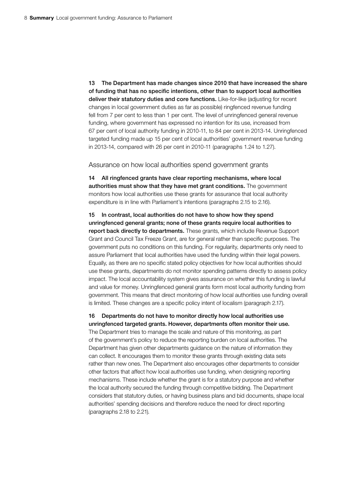13 The Department has made changes since 2010 that have increased the share of funding that has no specific intentions, other than to support local authorities deliver their statutory duties and core functions. Like-for-like (adjusting for recent changes in local government duties as far as possible) ringfenced revenue funding fell from 7 per cent to less than 1 per cent. The level of unringfenced general revenue funding, where government has expressed no intention for its use, increased from 67 per cent of local authority funding in 2010-11, to 84 per cent in 2013-14. Unringfenced targeted funding made up 15 per cent of local authorities' government revenue funding in 2013-14, compared with 26 per cent in 2010-11 (paragraphs 1.24 to 1.27).

Assurance on how local authorities spend government grants

14 All ringfenced grants have clear reporting mechanisms, where local authorities must show that they have met grant conditions. The government monitors how local authorities use these grants for assurance that local authority expenditure is in line with Parliament's intentions (paragraphs 2.15 to 2.16).

15 In contrast, local authorities do not have to show how they spend unringfenced general grants; none of these grants require local authorities to report back directly to departments. These grants, which include Revenue Support Grant and Council Tax Freeze Grant, are for general rather than specific purposes. The government puts no conditions on this funding. For regularity, departments only need to assure Parliament that local authorities have used the funding within their legal powers. Equally, as there are no specific stated policy objectives for how local authorities should use these grants, departments do not monitor spending patterns directly to assess policy impact. The local accountability system gives assurance on whether this funding is lawful and value for money. Unringfenced general grants form most local authority funding from government. This means that direct monitoring of how local authorities use funding overall is limited. These changes are a specific policy intent of localism (paragraph 2.17).

16 Departments do not have to monitor directly how local authorities use unringfenced targeted grants. However, departments often monitor their use.

The Department tries to manage the scale and nature of this monitoring, as part of the government's policy to reduce the reporting burden on local authorities. The Department has given other departments guidance on the nature of information they can collect. It encourages them to monitor these grants through existing data sets rather than new ones. The Department also encourages other departments to consider other factors that affect how local authorities use funding, when designing reporting mechanisms. These include whether the grant is for a statutory purpose and whether the local authority secured the funding through competitive bidding. The Department considers that statutory duties, or having business plans and bid documents, shape local authorities' spending decisions and therefore reduce the need for direct reporting (paragraphs 2.18 to 2.21).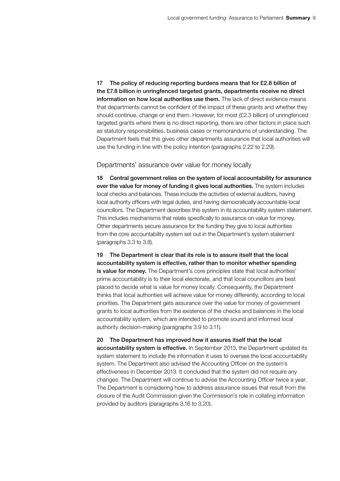17 The policy of reducing reporting burdens means that for £2.8 billion of the £7.8 billion in unringfenced targeted grants, departments receive no direct information on how local authorities use them. The lack of direct evidence means that departments cannot be confident of the impact of these grants and whether they should continue, change or end them. However, for most (£2.3 billion) of unringfenced targeted grants where there is no direct reporting, there are other factors in place such as statutory responsibilities, business cases or memorandums of understanding. The Department feels that this gives other departments assurance that local authorities will use the funding in line with the policy intention (paragraphs 2.22 to 2.29).

#### Departments' assurance over value for money locally

18 Central government relies on the system of local accountability for assurance over the value for money of funding it gives local authorities. The system includes local checks and balances. These include the activities of external auditors, having local authority officers with legal duties, and having democratically accountable local councillors. The Department describes this system in its accountability system statement. This includes mechanisms that relate specifically to assurance on value for money. Other departments secure assurance for the funding they give to local authorities from the core accountability system set out in the Department's system statement (paragraphs 3.3 to 3.8).

19 The Department is clear that its role is to assure itself that the local accountability system is effective, rather than to monitor whether spending is value for money. The Department's core principles state that local authorities' prime accountability is to their local electorate, and that local councillors are best placed to decide what is value for money locally. Consequently, the Department thinks that local authorities will achieve value for money differently, according to local priorities. The Department gets assurance over the value for money of government grants to local authorities from the existence of the checks and balances in the local accountability system, which are intended to promote sound and informed local authority decision-making (paragraphs 3.9 to 3.11).

#### 20 The Department has improved how it assures itself that the local

accountability system is effective. In September 2013, the Department updated its system statement to include the information it uses to oversee the local accountability system. The Department also advised the Accounting Officer on the system's effectiveness in December 2013. It concluded that the system did not require any changes. The Department will continue to advise the Accounting Officer twice a year. The Department is considering how to address assurance issues that result from the closure of the Audit Commission given the Commission's role in collating information provided by auditors (paragraphs 3.16 to 3.20).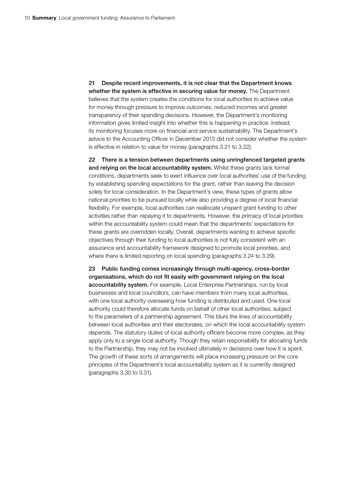21 Despite recent improvements, it is not clear that the Department knows whether the system is effective in securing value for money. The Department believes that the system creates the conditions for local authorities to achieve value for money through pressure to improve outcomes, reduced incomes and greater transparency of their spending decisions. However, the Department's monitoring information gives limited insight into whether this is happening in practice. Instead, its monitoring focuses more on financial and service sustainability. The Department's advice to the Accounting Officer in December 2013 did not consider whether the system is effective in relation to value for money (paragraphs 3.21 to 3.22).

22 There is a tension between departments using unringfenced targeted grants and relying on the local accountability system. Whilst these grants lack formal conditions, departments seek to exert influence over local authorities' use of the funding by establishing spending expectations for the grant, rather than leaving the decision solely for local consideration. In the Department's view, these types of grants allow national priorities to be pursued locally while also providing a degree of local financial flexibility. For example, local authorities can reallocate unspent grant funding to other activities rather than repaying it to departments. However, the primacy of local priorities within the accountability system could mean that the departments' expectations for these grants are overridden locally. Overall, departments wanting to achieve specific objectives through their funding to local authorities is not fully consistent with an assurance and accountability framework designed to promote local priorities, and where there is limited reporting on local spending (paragraphs 3.24 to 3.29).

23 Public funding comes increasingly through multi-agency, cross-border organisations, which do not fit easily with government relying on the local accountability system. For example, Local Enterprise Partnerships, run by local businesses and local councillors, can have members from many local authorities, with one local authority overseeing how funding is distributed and used. One local authority could therefore allocate funds on behalf of other local authorities, subject to the parameters of a partnership agreement. This blurs the lines of accountability between local authorities and their electorates, on which the local accountability system depends. The statutory duties of local authority officers become more complex, as they apply only to a single local authority. Though they retain responsibility for allocating funds to the Partnership, they may not be involved ultimately in decisions over how it is spent. The growth of these sorts of arrangements will place increasing pressure on the core principles of the Department's local accountability system as it is currently designed (paragraphs 3.30 to 3.31).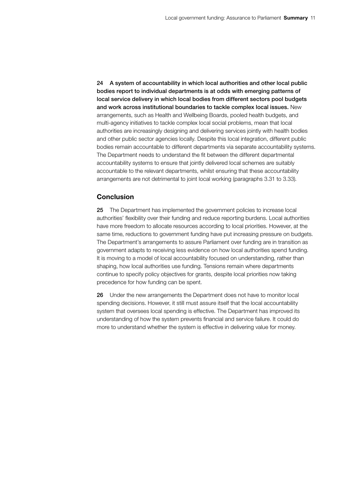24 A system of accountability in which local authorities and other local public bodies report to individual departments is at odds with emerging patterns of local service delivery in which local bodies from different sectors pool budgets and work across institutional boundaries to tackle complex local issues. New arrangements, such as Health and Wellbeing Boards, pooled health budgets, and multi-agency initiatives to tackle complex local social problems, mean that local authorities are increasingly designing and delivering services jointly with health bodies and other public sector agencies locally. Despite this local integration, different public bodies remain accountable to different departments via separate accountability systems. The Department needs to understand the fit between the different departmental accountability systems to ensure that jointly delivered local schemes are suitably accountable to the relevant departments, whilst ensuring that these accountability arrangements are not detrimental to joint local working (paragraphs 3.31 to 3.33).

### **Conclusion**

25 The Department has implemented the government policies to increase local authorities' flexibility over their funding and reduce reporting burdens. Local authorities have more freedom to allocate resources according to local priorities. However, at the same time, reductions to government funding have put increasing pressure on budgets. The Department's arrangements to assure Parliament over funding are in transition as government adapts to receiving less evidence on how local authorities spend funding. It is moving to a model of local accountability focused on understanding, rather than shaping, how local authorities use funding. Tensions remain where departments continue to specify policy objectives for grants, despite local priorities now taking precedence for how funding can be spent.

26 Under the new arrangements the Department does not have to monitor local spending decisions. However, it still must assure itself that the local accountability system that oversees local spending is effective. The Department has improved its understanding of how the system prevents financial and service failure. It could do more to understand whether the system is effective in delivering value for money.